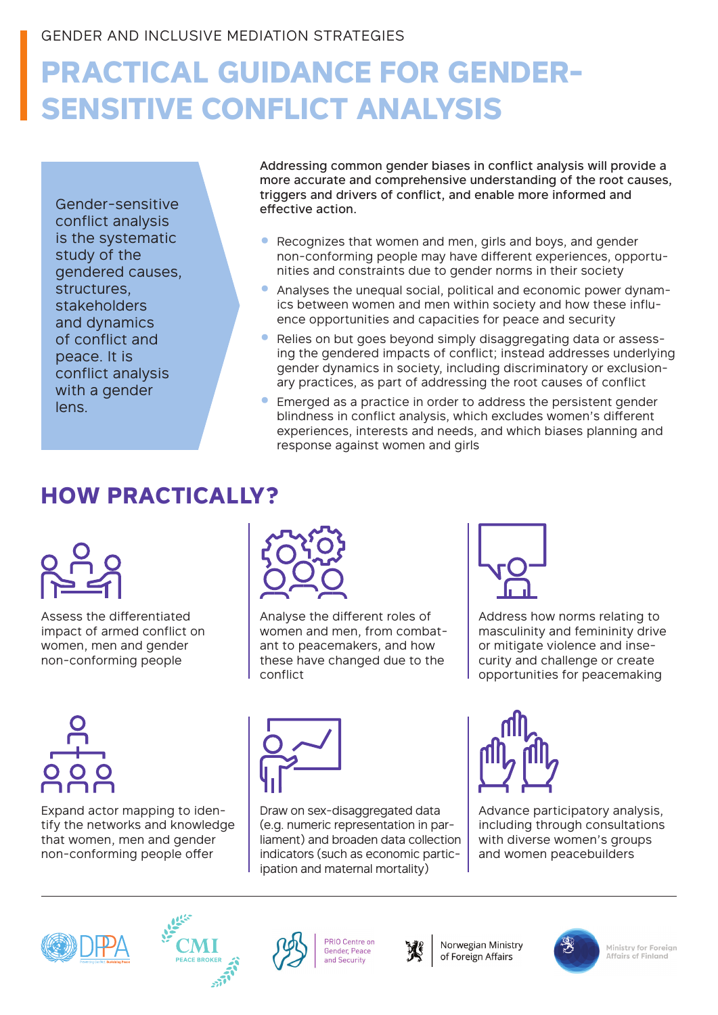# **PRACTICAL GUIDANCE FOR GENDER-SENSITIVE CONFLICT ANALYSIS**

Gender-sensitive conflict analysis is the systematic study of the gendered causes, structures, stakeholders and dynamics of conflict and peace. It is conflict analysis with a gender lens.

Addressing common gender biases in conflict analysis will provide a more accurate and comprehensive understanding of the root causes, triggers and drivers of conflict, and enable more informed and effective action.

- Recognizes that women and men, girls and boys, and gender non-conforming people may have different experiences, opportunities and constraints due to gender norms in their society
- Analyses the unequal social, political and economic power dynamics between women and men within society and how these influence opportunities and capacities for peace and security
- Relies on but goes beyond simply disaggregating data or assessing the gendered impacts of conflict; instead addresses underlying gender dynamics in society, including discriminatory or exclusionary practices, as part of addressing the root causes of conflict
- Emerged as a practice in order to address the persistent gender blindness in conflict analysis, which excludes women's different experiences, interests and needs, and which biases planning and response against women and girls

## **HOW PRACTICALLY?**



Assess the differentiated impact of armed conflict on women, men and gender non-conforming people



Analyse the different roles of women and men, from combatant to peacemakers, and how these have changed due to the conflict



Address how norms relating to masculinity and femininity drive or mitigate violence and insecurity and challenge or create opportunities for peacemaking



Expand actor mapping to identify the networks and knowledge that women, men and gender non-conforming people offer



Draw on sex-disaggregated data (e.g. numeric representation in parliament) and broaden data collection indicators (such as economic participation and maternal mortality)



Advance participatory analysis, including through consultations with diverse women's groups and women peacebuilders







PRIO Centre on Gender, Peace and Security



Norwegian Ministry of Foreign Affairs